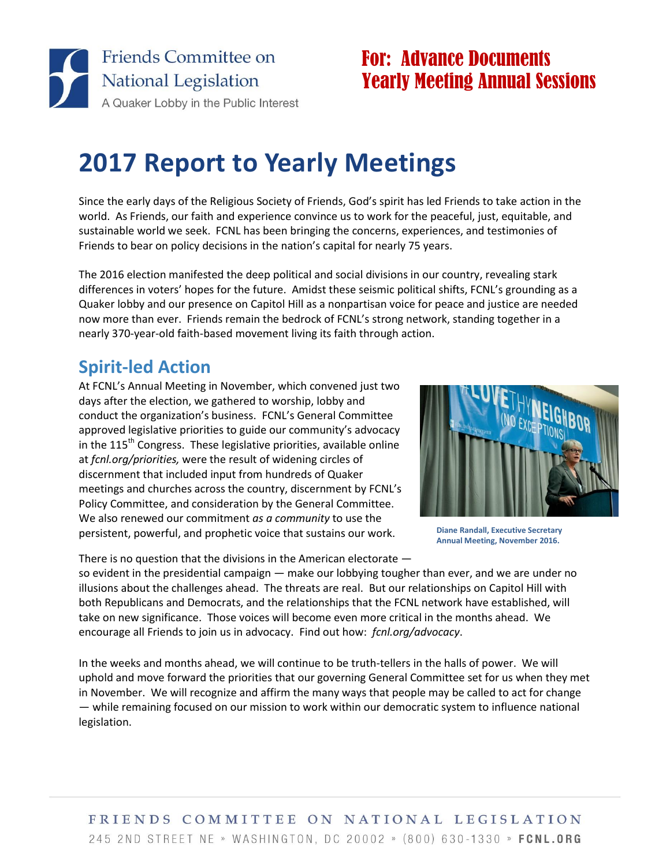

## For: Advance Documents Yearly Meeting Annual Sessions

# **2017 Report to Yearly Meetings**

Since the early days of the Religious Society of Friends, God's spirit has led Friends to take action in the world. As Friends, our faith and experience convince us to work for the peaceful, just, equitable, and sustainable world we seek. FCNL has been bringing the concerns, experiences, and testimonies of Friends to bear on policy decisions in the nation's capital for nearly 75 years.

The 2016 election manifested the deep political and social divisions in our country, revealing stark differences in voters' hopes for the future. Amidst these seismic political shifts, FCNL's grounding as a Quaker lobby and our presence on Capitol Hill as a nonpartisan voice for peace and justice are needed now more than ever. Friends remain the bedrock of FCNL's strong network, standing together in a nearly 370-year-old faith-based movement living its faith through action.

### **Spirit-led Action**

At FCNL's Annual Meeting in November, which convened just two days after the election, we gathered to worship, lobby and conduct the organization's business. FCNL's General Committee approved legislative priorities to guide our community's advocacy in the  $115<sup>th</sup>$  Congress. These legislative priorities, available online at *fcnl.org/priorities,* were the result of widening circles of discernment that included input from hundreds of Quaker meetings and churches across the country, discernment by FCNL's Policy Committee, and consideration by the General Committee. We also renewed our commitment *as a community* to use the persistent, powerful, and prophetic voice that sustains our work.

There is no question that the divisions in the American electorate —



**Diane Randall, Executive Secretary Annual Meeting, November 2016.**

so evident in the presidential campaign — make our lobbying tougher than ever, and we are under no illusions about the challenges ahead. The threats are real. But our relationships on Capitol Hill with both Republicans and Democrats, and the relationships that the FCNL network have established, will take on new significance. Those voices will become even more critical in the months ahead. We encourage all Friends to join us in advocacy. Find out how: *fcnl.org/advocacy*.

In the weeks and months ahead, we will continue to be truth-tellers in the halls of power. We will uphold and move forward the priorities that our governing General Committee set for us when they met in November. We will recognize and affirm the many ways that people may be called to act for change — while remaining focused on our mission to work within our democratic system to influence national legislation.

#### FRIENDS COMMITTEE ON NATIONAL LEGISLATION 245 2ND STREET NE » WASHINGTON, DC 20002 » (800) 630-1330 » FCNL.ORG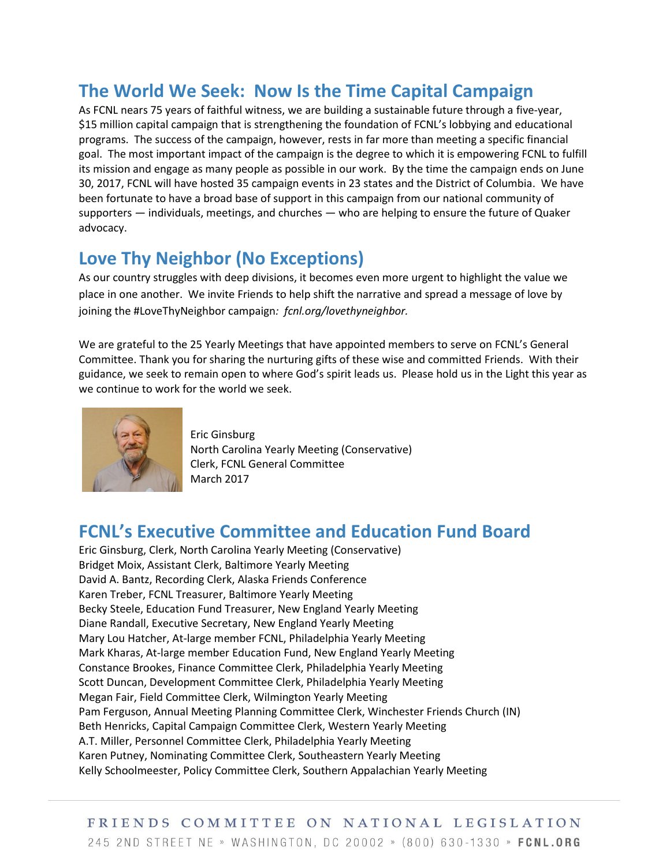### **The World We Seek: Now Is the Time Capital Campaign**

As FCNL nears 75 years of faithful witness, we are building a sustainable future through a five-year, \$15 million capital campaign that is strengthening the foundation of FCNL's lobbying and educational programs. The success of the campaign, however, rests in far more than meeting a specific financial goal. The most important impact of the campaign is the degree to which it is empowering FCNL to fulfill its mission and engage as many people as possible in our work. By the time the campaign ends on June 30, 2017, FCNL will have hosted 35 campaign events in 23 states and the District of Columbia. We have been fortunate to have a broad base of support in this campaign from our national community of supporters — individuals, meetings, and churches — who are helping to ensure the future of Quaker advocacy.

#### **Love Thy Neighbor (No Exceptions)**

As our country struggles with deep divisions, it becomes even more urgent to highlight the value we place in one another. We invite Friends to help shift the narrative and spread a message of love by joining the #LoveThyNeighbor campaign*: fcnl.org/lovethyneighbor.*

We are grateful to the 25 Yearly Meetings that have appointed members to serve on FCNL's General Committee. Thank you for sharing the nurturing gifts of these wise and committed Friends. With their guidance, we seek to remain open to where God's spirit leads us. Please hold us in the Light this year as we continue to work for the world we seek.



Eric Ginsburg North Carolina Yearly Meeting (Conservative) Clerk, FCNL General Committee March 2017

#### **FCNL's Executive Committee and Education Fund Board**

Eric Ginsburg, Clerk, North Carolina Yearly Meeting (Conservative) Bridget Moix, Assistant Clerk, Baltimore Yearly Meeting David A. Bantz, Recording Clerk, Alaska Friends Conference Karen Treber, FCNL Treasurer, Baltimore Yearly Meeting Becky Steele, Education Fund Treasurer, New England Yearly Meeting Diane Randall, Executive Secretary, New England Yearly Meeting Mary Lou Hatcher, At-large member FCNL, Philadelphia Yearly Meeting Mark Kharas, At-large member Education Fund, New England Yearly Meeting Constance Brookes, Finance Committee Clerk, Philadelphia Yearly Meeting Scott Duncan, Development Committee Clerk, Philadelphia Yearly Meeting Megan Fair, Field Committee Clerk, Wilmington Yearly Meeting Pam Ferguson, Annual Meeting Planning Committee Clerk, Winchester Friends Church (IN) Beth Henricks, Capital Campaign Committee Clerk, Western Yearly Meeting A.T. Miller, Personnel Committee Clerk, Philadelphia Yearly Meeting Karen Putney, Nominating Committee Clerk, Southeastern Yearly Meeting Kelly Schoolmeester, Policy Committee Clerk, Southern Appalachian Yearly Meeting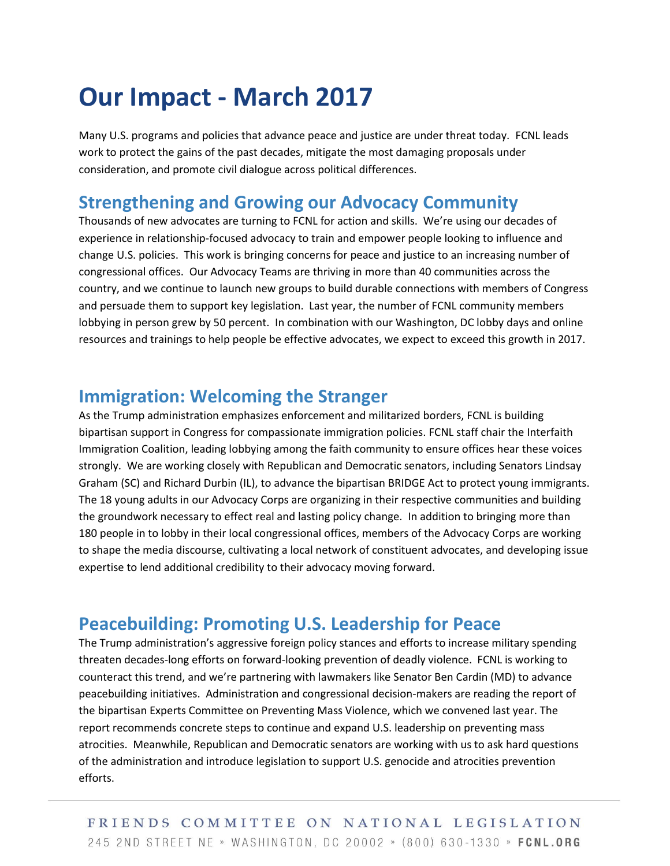## **Our Impact - March 2017**

Many U.S. programs and policies that advance peace and justice are under threat today. FCNL leads work to protect the gains of the past decades, mitigate the most damaging proposals under consideration, and promote civil dialogue across political differences.

#### **Strengthening and Growing our Advocacy Community**

Thousands of new advocates are turning to FCNL for action and skills. We're using our decades of experience in relationship-focused advocacy to train and empower people looking to influence and change U.S. policies. This work is bringing concerns for peace and justice to an increasing number of congressional offices. Our Advocacy Teams are thriving in more than 40 communities across the country, and we continue to launch new groups to build durable connections with members of Congress and persuade them to support key legislation. Last year, the number of FCNL community members lobbying in person grew by 50 percent. In combination with our Washington, DC lobby days and online resources and trainings to help people be effective advocates, we expect to exceed this growth in 2017.

#### **Immigration: Welcoming the Stranger**

As the Trump administration emphasizes enforcement and militarized borders, FCNL is building bipartisan support in Congress for compassionate immigration policies. FCNL staff chair the Interfaith Immigration Coalition, leading lobbying among the faith community to ensure offices hear these voices strongly. We are working closely with Republican and Democratic senators, including Senators Lindsay Graham (SC) and Richard Durbin (IL), to advance the bipartisan BRIDGE Act to protect young immigrants. The 18 young adults in our Advocacy Corps are organizing in their respective communities and building the groundwork necessary to effect real and lasting policy change. In addition to bringing more than 180 people in to lobby in their local congressional offices, members of the Advocacy Corps are working to shape the media discourse, cultivating a local network of constituent advocates, and developing issue expertise to lend additional credibility to their advocacy moving forward.

#### **Peacebuilding: Promoting U.S. Leadership for Peace**

The Trump administration's aggressive foreign policy stances and efforts to increase military spending threaten decades-long efforts on forward-looking prevention of deadly violence. FCNL is working to counteract this trend, and we're partnering with lawmakers like Senator Ben Cardin (MD) to advance peacebuilding initiatives. Administration and congressional decision-makers are reading the report of the bipartisan Experts Committee on Preventing Mass Violence, which we convened last year. The report recommends concrete steps to continue and expand U.S. leadership on preventing mass atrocities. Meanwhile, Republican and Democratic senators are working with us to ask hard questions of the administration and introduce legislation to support U.S. genocide and atrocities prevention efforts.